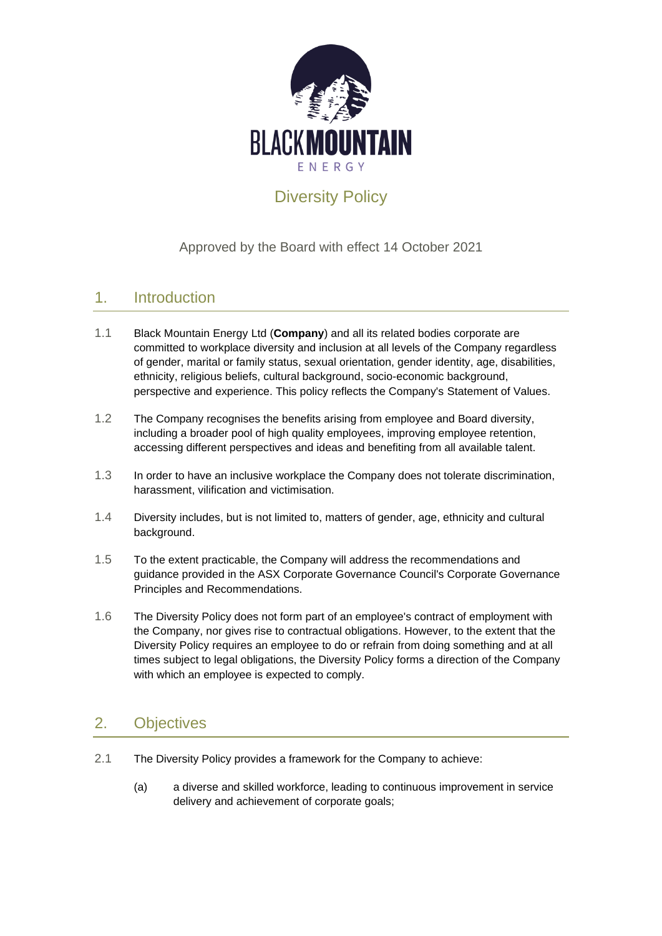

# Diversity Policy

# Approved by the Board with effect 14 October 2021

# 1. Introduction

- 1.1 Black Mountain Energy Ltd (**Company**) and all its related bodies corporate are committed to workplace diversity and inclusion at all levels of the Company regardless of gender, marital or family status, sexual orientation, gender identity, age, disabilities, ethnicity, religious beliefs, cultural background, socio-economic background, perspective and experience. This policy reflects the Company's Statement of Values.
- 1.2 The Company recognises the benefits arising from employee and Board diversity, including a broader pool of high quality employees, improving employee retention, accessing different perspectives and ideas and benefiting from all available talent.
- 1.3 In order to have an inclusive workplace the Company does not tolerate discrimination, harassment, vilification and victimisation.
- 1.4 Diversity includes, but is not limited to, matters of gender, age, ethnicity and cultural background.
- 1.5 To the extent practicable, the Company will address the recommendations and guidance provided in the ASX Corporate Governance Council's Corporate Governance Principles and Recommendations.
- 1.6 The Diversity Policy does not form part of an employee's contract of employment with the Company, nor gives rise to contractual obligations. However, to the extent that the Diversity Policy requires an employee to do or refrain from doing something and at all times subject to legal obligations, the Diversity Policy forms a direction of the Company with which an employee is expected to comply.

# 2. Objectives

- 2.1 The Diversity Policy provides a framework for the Company to achieve:
	- (a) a diverse and skilled workforce, leading to continuous improvement in service delivery and achievement of corporate goals;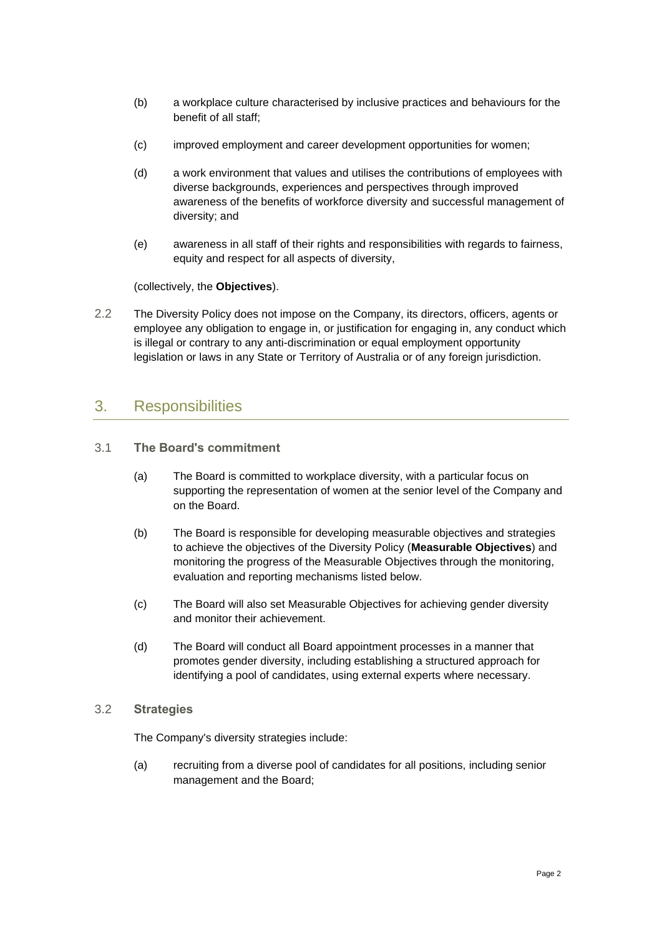- (b) a workplace culture characterised by inclusive practices and behaviours for the benefit of all staff;
- (c) improved employment and career development opportunities for women;
- (d) a work environment that values and utilises the contributions of employees with diverse backgrounds, experiences and perspectives through improved awareness of the benefits of workforce diversity and successful management of diversity; and
- (e) awareness in all staff of their rights and responsibilities with regards to fairness, equity and respect for all aspects of diversity,

(collectively, the **Objectives**).

2.2 The Diversity Policy does not impose on the Company, its directors, officers, agents or employee any obligation to engage in, or justification for engaging in, any conduct which is illegal or contrary to any anti-discrimination or equal employment opportunity legislation or laws in any State or Territory of Australia or of any foreign jurisdiction.

#### 3. Responsibilities

- 3.1 **The Board's commitment**
	- (a) The Board is committed to workplace diversity, with a particular focus on supporting the representation of women at the senior level of the Company and on the Board.
	- (b) The Board is responsible for developing measurable objectives and strategies to achieve the objectives of the Diversity Policy (**Measurable Objectives**) and monitoring the progress of the Measurable Objectives through the monitoring, evaluation and reporting mechanisms listed below.
	- (c) The Board will also set Measurable Objectives for achieving gender diversity and monitor their achievement.
	- (d) The Board will conduct all Board appointment processes in a manner that promotes gender diversity, including establishing a structured approach for identifying a pool of candidates, using external experts where necessary.
- 3.2 **Strategies**

The Company's diversity strategies include:

(a) recruiting from a diverse pool of candidates for all positions, including senior management and the Board;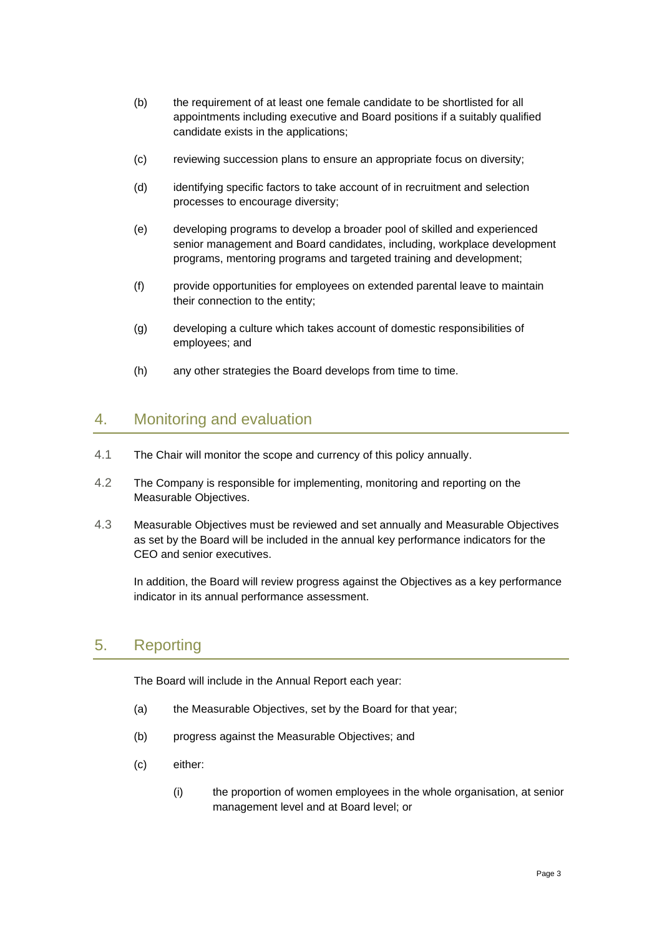- (b) the requirement of at least one female candidate to be shortlisted for all appointments including executive and Board positions if a suitably qualified candidate exists in the applications;
- (c) reviewing succession plans to ensure an appropriate focus on diversity;
- (d) identifying specific factors to take account of in recruitment and selection processes to encourage diversity;
- (e) developing programs to develop a broader pool of skilled and experienced senior management and Board candidates, including, workplace development programs, mentoring programs and targeted training and development;
- (f) provide opportunities for employees on extended parental leave to maintain their connection to the entity;
- (g) developing a culture which takes account of domestic responsibilities of employees; and
- (h) any other strategies the Board develops from time to time.

### 4. Monitoring and evaluation

- 4.1 The Chair will monitor the scope and currency of this policy annually.
- 4.2 The Company is responsible for implementing, monitoring and reporting on the Measurable Objectives.
- 4.3 Measurable Objectives must be reviewed and set annually and Measurable Objectives as set by the Board will be included in the annual key performance indicators for the CEO and senior executives.

In addition, the Board will review progress against the Objectives as a key performance indicator in its annual performance assessment.

# 5. Reporting

The Board will include in the Annual Report each year:

- (a) the Measurable Objectives, set by the Board for that year;
- (b) progress against the Measurable Objectives; and
- (c) either:
	- (i) the proportion of women employees in the whole organisation, at senior management level and at Board level; or